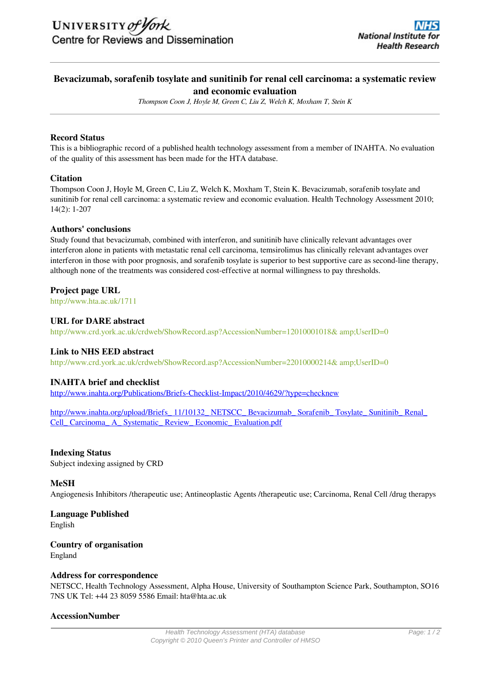### **Bevacizumab, sorafenib tosylate and sunitinib for renal cell carcinoma: a systematic review and economic evaluation**

*Thompson Coon J, Hoyle M, Green C, Liu Z, Welch K, Moxham T, Stein K*

#### **Record Status**

This is a bibliographic record of a published health technology assessment from a member of INAHTA. No evaluation of the quality of this assessment has been made for the HTA database.

#### **Citation**

Thompson Coon J, Hoyle M, Green C, Liu Z, Welch K, Moxham T, Stein K. Bevacizumab, sorafenib tosylate and sunitinib for renal cell carcinoma: a systematic review and economic evaluation. Health Technology Assessment 2010; 14(2): 1-207

#### **Authors' conclusions**

Study found that bevacizumab, combined with interferon, and sunitinib have clinically relevant advantages over interferon alone in patients with metastatic renal cell carcinoma, temsirolimus has clinically relevant advantages over interferon in those with poor prognosis, and sorafenib tosylate is superior to best supportive care as second-line therapy, although none of the treatments was considered cost-effective at normal willingness to pay thresholds.

#### **Project page URL**

<http://www.hta.ac.uk/1711>

#### **URL for DARE abstract**

http://www.crd.york.ac.uk/crdweb/ShowRecord.asp?AccessionNumber=12010001018& amp;UserID=0

#### **Link to NHS EED abstract**

http://www.crd.york.ac.uk/crdweb/ShowRecord.asp?AccessionNumber=22010000214& amp;UserID=0

#### **INAHTA brief and checklist**

http://www.inahta.org/Publications/Briefs-Checklist-Impact/2010/4629/?type=checknew

http://www.inahta.org/upload/Briefs\_ 11/10132\_ NETSCC\_ Bevacizumab\_ Sorafenib\_ Tosylate\_ Sunitinib\_ Renal\_ Cell\_ Carcinoma\_ A\_ Systematic\_ Review\_ Economic\_ Evaluation.pdf

#### **Indexing Status**

Subject indexing assigned by CRD

#### **MeSH**

Angiogenesis Inhibitors /therapeutic use; Antineoplastic Agents /therapeutic use; Carcinoma, Renal Cell /drug therapys

# **Language Published**

English

## **Country of organisation**

England

#### **Address for correspondence**

NETSCC, Health Technology Assessment, Alpha House, University of Southampton Science Park, Southampton, SO16 7NS UK Tel: +44 23 8059 5586 Email: hta@hta.ac.uk

#### **AccessionNumber**